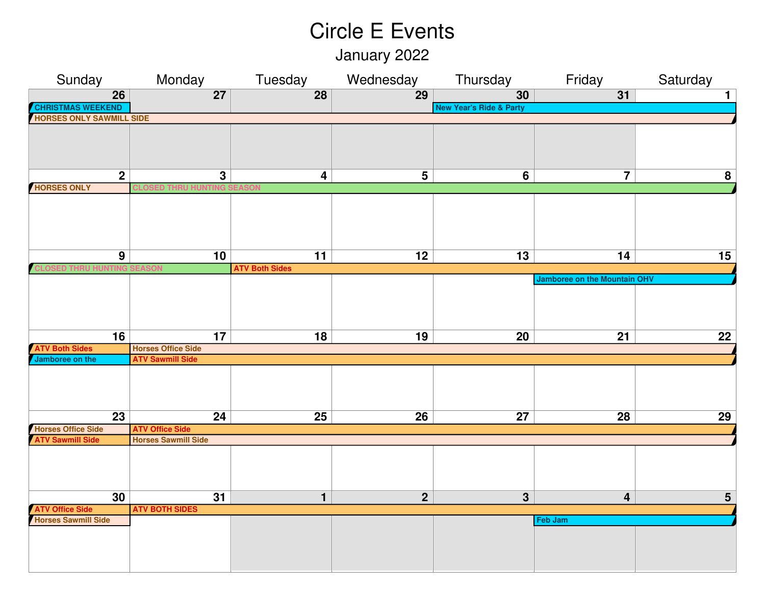January 2022

| Sunday                          | Monday                     | Tuesday                 | Wednesday       | Thursday                           | Friday                              | Saturday        |
|---------------------------------|----------------------------|-------------------------|-----------------|------------------------------------|-------------------------------------|-----------------|
| $\overline{26}$                 | $\overline{27}$            | $\overline{28}$         | $\overline{29}$ | 30                                 | 31                                  | $\mathbf{1}$    |
| <b>CHRISTMAS WEEKEND</b>        |                            |                         |                 | <b>New Year's Ride &amp; Party</b> |                                     |                 |
| <b>HORSES ONLY SAWMILL SIDE</b> |                            |                         |                 |                                    |                                     |                 |
|                                 |                            |                         |                 |                                    |                                     |                 |
|                                 |                            |                         |                 |                                    |                                     |                 |
|                                 |                            |                         |                 |                                    |                                     |                 |
| $\mathbf{2}$                    | $\mathbf{3}$               | $\overline{\mathbf{4}}$ | 5               | 6                                  | $\overline{\mathbf{7}}$             | 8               |
| <b>HORSES ONLY</b>              |                            |                         |                 |                                    |                                     |                 |
|                                 |                            |                         |                 |                                    |                                     |                 |
|                                 |                            |                         |                 |                                    |                                     |                 |
|                                 |                            |                         |                 |                                    |                                     |                 |
|                                 |                            |                         |                 |                                    |                                     |                 |
|                                 |                            |                         |                 |                                    |                                     |                 |
| $\overline{9}$                  | 10                         | 11                      | 12              | 13                                 | 14                                  | 15              |
|                                 |                            | <b>ATV Both Sides</b>   |                 |                                    |                                     |                 |
|                                 |                            |                         |                 |                                    | <b>Jamboree on the Mountain OHV</b> |                 |
|                                 |                            |                         |                 |                                    |                                     |                 |
|                                 |                            |                         |                 |                                    |                                     |                 |
|                                 |                            |                         |                 |                                    |                                     |                 |
| $\overline{16}$                 | 17                         | $\overline{18}$         | $\overline{19}$ | $\overline{20}$                    | $\overline{21}$                     | $\overline{22}$ |
| <b>ATV Both Sides</b>           | <b>Horses Office Side</b>  |                         |                 |                                    |                                     |                 |
| Jamboree on the                 | <b>ATV Sawmill Side</b>    |                         |                 |                                    |                                     |                 |
|                                 |                            |                         |                 |                                    |                                     |                 |
|                                 |                            |                         |                 |                                    |                                     |                 |
|                                 |                            |                         |                 |                                    |                                     |                 |
|                                 |                            |                         |                 |                                    |                                     |                 |
| $\overline{23}$                 | $\overline{24}$            | $\overline{25}$         | $\overline{26}$ | $\overline{27}$                    | $\overline{28}$                     | $\overline{29}$ |
| <b>Horses Office Side</b>       | <b>ATV Office Side</b>     |                         |                 |                                    |                                     |                 |
| <b>ATV Sawmill Side</b>         | <b>Horses Sawmill Side</b> |                         |                 |                                    |                                     |                 |
|                                 |                            |                         |                 |                                    |                                     |                 |
|                                 |                            |                         |                 |                                    |                                     |                 |
|                                 |                            |                         |                 |                                    |                                     |                 |
| 30                              | $\overline{31}$            | $\mathbf{1}$            | $\overline{2}$  | $\overline{3}$                     | 4                                   | $\overline{5}$  |
| <b>ATV Office Side</b>          | <b>ATV BOTH SIDES</b>      |                         |                 |                                    |                                     |                 |
| <b>Horses Sawmill Side</b>      |                            |                         |                 |                                    | Feb Jam                             |                 |
|                                 |                            |                         |                 |                                    |                                     |                 |
|                                 |                            |                         |                 |                                    |                                     |                 |
|                                 |                            |                         |                 |                                    |                                     |                 |
|                                 |                            |                         |                 |                                    |                                     |                 |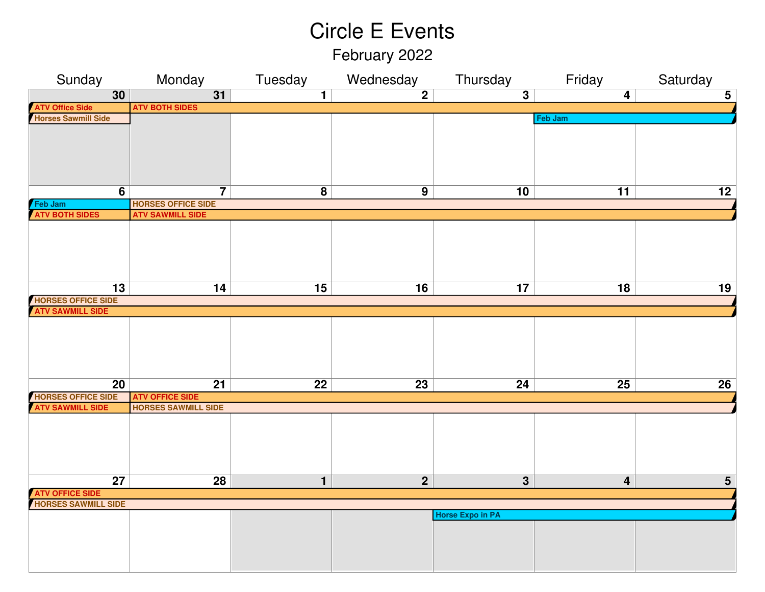February 2022

| Sunday                                         | Monday                                               | Tuesday         | Wednesday       | Thursday                | Friday                  | Saturday        |
|------------------------------------------------|------------------------------------------------------|-----------------|-----------------|-------------------------|-------------------------|-----------------|
| $\overline{30}$                                | $\overline{31}$                                      | $\overline{1}$  | $\overline{2}$  | $\overline{3}$          | $\overline{\mathbf{4}}$ | $\overline{5}$  |
|                                                | <b>ATV BOTH SIDES</b>                                |                 |                 |                         |                         |                 |
| <b>ATV Office Side<br/>Horses Sawmill Side</b> |                                                      |                 |                 |                         | Feb Jam                 |                 |
|                                                |                                                      |                 |                 |                         |                         |                 |
|                                                |                                                      |                 |                 |                         |                         |                 |
|                                                |                                                      |                 |                 |                         |                         |                 |
|                                                |                                                      |                 |                 |                         |                         |                 |
|                                                |                                                      |                 |                 |                         |                         |                 |
| $\overline{6}$                                 | $\overline{\mathbf{7}}$                              | $\bf{8}$        | $\overline{9}$  | 10                      | 11                      | 12              |
| Feb Jam                                        | <b>HORSES OFFICE SIDE</b>                            |                 |                 |                         |                         |                 |
| <b>ATV BOTH SIDES</b>                          | <b>ATV SAWMILL SIDE</b>                              |                 |                 |                         |                         |                 |
|                                                |                                                      |                 |                 |                         |                         |                 |
|                                                |                                                      |                 |                 |                         |                         |                 |
|                                                |                                                      |                 |                 |                         |                         |                 |
|                                                |                                                      |                 |                 |                         |                         |                 |
|                                                |                                                      |                 |                 |                         |                         |                 |
| 13                                             | 14                                                   | 15              | 16              | 17                      | 18                      | 19              |
| HORSES OFFICE SIDE<br>ATV SAWMILL SIDE         |                                                      |                 |                 |                         |                         |                 |
|                                                |                                                      |                 |                 |                         |                         |                 |
|                                                |                                                      |                 |                 |                         |                         |                 |
|                                                |                                                      |                 |                 |                         |                         |                 |
|                                                |                                                      |                 |                 |                         |                         |                 |
|                                                |                                                      |                 |                 |                         |                         |                 |
|                                                |                                                      |                 |                 |                         |                         |                 |
| $\overline{20}$                                | $\overline{21}$                                      | $\overline{22}$ | $\overline{23}$ | 24                      | $\overline{25}$         | $\overline{26}$ |
| HORSES OFFICE SIDE<br>ATV SAWMILL SIDE         | <b>ATV OFFICE SIDE</b><br><b>HORSES SAWMILL SIDE</b> |                 |                 |                         |                         |                 |
|                                                |                                                      |                 |                 |                         |                         |                 |
|                                                |                                                      |                 |                 |                         |                         |                 |
|                                                |                                                      |                 |                 |                         |                         |                 |
|                                                |                                                      |                 |                 |                         |                         |                 |
|                                                |                                                      |                 |                 |                         |                         |                 |
| $\overline{27}$                                | 28                                                   |                 | $\overline{2}$  |                         | 4                       |                 |
|                                                |                                                      | $\mathbf{1}$    |                 | $\mathbf{3}$            |                         | $5\phantom{1}$  |
| <b>ATV OFFICE SIDE<br/>HORSES SAWMILL SIDE</b> |                                                      |                 |                 |                         |                         |                 |
|                                                |                                                      |                 |                 | <b>Horse Expo in PA</b> |                         |                 |
|                                                |                                                      |                 |                 |                         |                         |                 |
|                                                |                                                      |                 |                 |                         |                         |                 |
|                                                |                                                      |                 |                 |                         |                         |                 |
|                                                |                                                      |                 |                 |                         |                         |                 |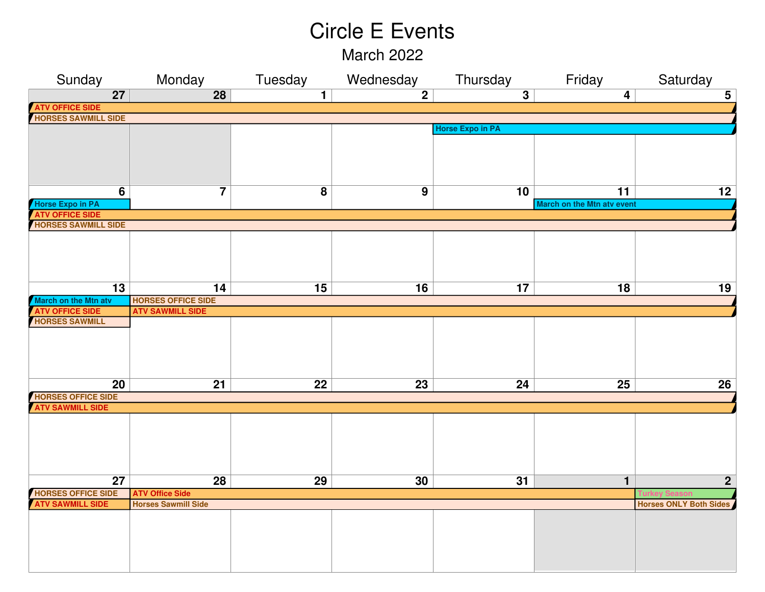March 2022

| Sunday                     | Monday                     | Tuesday                 | Wednesday      | Thursday                | Friday                            | Saturday                      |  |  |
|----------------------------|----------------------------|-------------------------|----------------|-------------------------|-----------------------------------|-------------------------------|--|--|
| $\overline{27}$            | $\overline{28}$            | $\overline{1}$          | $\overline{2}$ | $\overline{3}$          | $\overline{\mathbf{4}}$           | $5\phantom{.0}$               |  |  |
| <b>ATV OFFICE SIDE</b>     |                            |                         |                |                         |                                   |                               |  |  |
| <b>HORSES SAWMILL SIDE</b> |                            |                         |                |                         |                                   |                               |  |  |
|                            |                            |                         |                | <b>Horse Expo in PA</b> |                                   |                               |  |  |
|                            |                            |                         |                |                         |                                   |                               |  |  |
|                            |                            |                         |                |                         |                                   |                               |  |  |
|                            |                            |                         |                |                         |                                   |                               |  |  |
|                            |                            |                         |                |                         |                                   |                               |  |  |
| $\overline{6}$             | $\overline{\mathbf{7}}$    | $\overline{\mathbf{8}}$ | $\overline{9}$ | 10                      | $\overline{11}$                   | 12                            |  |  |
| <b>Horse Expo in PA</b>    |                            |                         |                |                         | <b>March on the Mtn atv event</b> |                               |  |  |
| <b>ATV OFFICE SIDE</b>     |                            |                         |                |                         |                                   |                               |  |  |
| <b>HORSES SAWMILL SIDE</b> |                            |                         |                |                         |                                   |                               |  |  |
|                            |                            |                         |                |                         |                                   |                               |  |  |
|                            |                            |                         |                |                         |                                   |                               |  |  |
|                            |                            |                         |                |                         |                                   |                               |  |  |
|                            |                            |                         |                |                         |                                   |                               |  |  |
| 13                         | 14                         | 15                      | 16             | 17                      | 18                                | 19                            |  |  |
| March on the Mtn atv       | <b>HORSES OFFICE SIDE</b>  |                         |                |                         |                                   |                               |  |  |
| <b>ATV OFFICE SIDE</b>     | <b>ATV SAWMILL SIDE</b>    |                         |                |                         |                                   |                               |  |  |
| <b>HORSES SAWMILL</b>      |                            |                         |                |                         |                                   |                               |  |  |
|                            |                            |                         |                |                         |                                   |                               |  |  |
|                            |                            |                         |                |                         |                                   |                               |  |  |
|                            |                            |                         |                |                         |                                   |                               |  |  |
|                            |                            |                         |                |                         |                                   |                               |  |  |
| 20                         | 21                         | $\overline{22}$         | 23             | 24                      | $\overline{25}$                   | 26                            |  |  |
| <b>HORSES OFFICE SIDE</b>  |                            |                         |                |                         |                                   |                               |  |  |
| <b>ATV SAWMILL SIDE</b>    |                            |                         |                |                         |                                   |                               |  |  |
|                            |                            |                         |                |                         |                                   |                               |  |  |
|                            |                            |                         |                |                         |                                   |                               |  |  |
|                            |                            |                         |                |                         |                                   |                               |  |  |
|                            |                            |                         |                |                         |                                   |                               |  |  |
|                            |                            |                         |                |                         |                                   |                               |  |  |
| 27                         | 28                         | 29                      | 30             | 31                      | $\mathbf{1}$                      | $\mathbf{2}$                  |  |  |
| <b>HORSES OFFICE SIDE</b>  | <b>ATV Office Side</b>     |                         |                |                         |                                   |                               |  |  |
| <b>ATV SAWMILL SIDE</b>    | <b>Horses Sawmill Side</b> |                         |                |                         |                                   | <b>Horses ONLY Both Sides</b> |  |  |
|                            |                            |                         |                |                         |                                   |                               |  |  |
|                            |                            |                         |                |                         |                                   |                               |  |  |
|                            |                            |                         |                |                         |                                   |                               |  |  |
|                            |                            |                         |                |                         |                                   |                               |  |  |
|                            |                            |                         |                |                         |                                   |                               |  |  |
|                            |                            |                         |                |                         |                                   |                               |  |  |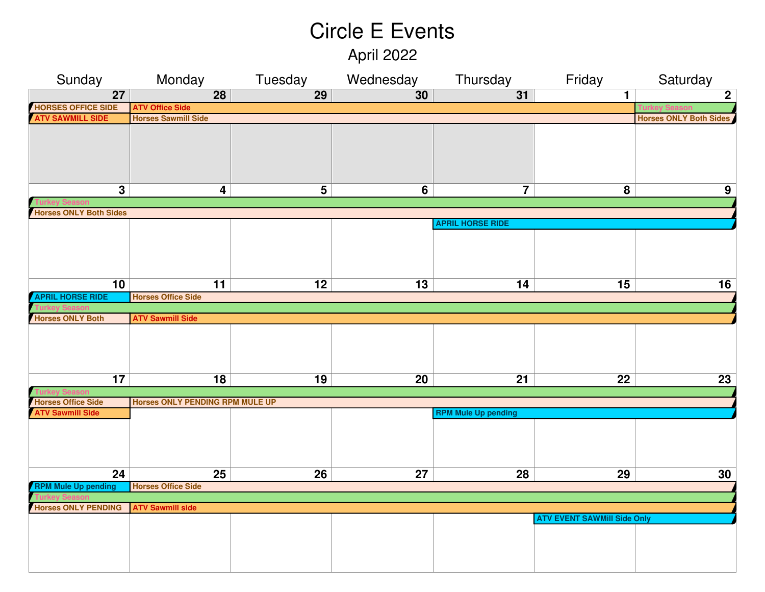April 2022

| Sunday                        | Monday                          |                 | Tuesday Wednesday | Thursday                   | Friday                             | Saturday                      |  |  |
|-------------------------------|---------------------------------|-----------------|-------------------|----------------------------|------------------------------------|-------------------------------|--|--|
| $\overline{27}$               | $\overline{28}$                 | $\overline{29}$ | 30                | $\overline{31}$            | $\mathbf 1$                        | $\overline{2}$                |  |  |
| <b>HORSES OFFICE SIDE</b>     | <b>ATV Office Side</b>          |                 |                   |                            |                                    |                               |  |  |
| <b>ATV SAWMILL SIDE</b>       | <b>Horses Sawmill Side</b>      |                 |                   |                            |                                    | <b>Horses ONLY Both Sides</b> |  |  |
|                               |                                 |                 |                   |                            |                                    |                               |  |  |
|                               |                                 |                 |                   |                            |                                    |                               |  |  |
|                               |                                 |                 |                   |                            |                                    |                               |  |  |
|                               |                                 |                 |                   |                            |                                    |                               |  |  |
|                               |                                 |                 |                   |                            |                                    |                               |  |  |
| $\overline{3}$                | 4                               | $\overline{5}$  | $6\overline{6}$   | $\overline{7}$             | $\overline{8}$                     | 9                             |  |  |
|                               |                                 |                 |                   |                            |                                    |                               |  |  |
| <b>Horses ONLY Both Sides</b> |                                 |                 |                   |                            |                                    |                               |  |  |
|                               |                                 |                 |                   | <b>APRIL HORSE RIDE</b>    |                                    |                               |  |  |
|                               |                                 |                 |                   |                            |                                    |                               |  |  |
|                               |                                 |                 |                   |                            |                                    |                               |  |  |
|                               |                                 |                 |                   |                            |                                    |                               |  |  |
|                               |                                 |                 |                   |                            |                                    |                               |  |  |
| 10                            | 11                              | 12              | 13                | 14                         | 15                                 | 16                            |  |  |
| <b>APRIL HORSE RIDE</b>       | <b>Horses Office Side</b>       |                 |                   |                            |                                    |                               |  |  |
|                               |                                 |                 |                   |                            |                                    |                               |  |  |
| <b>Horses ONLY Both</b>       | <b>ATV Sawmill Side</b>         |                 |                   |                            |                                    |                               |  |  |
|                               |                                 |                 |                   |                            |                                    |                               |  |  |
|                               |                                 |                 |                   |                            |                                    |                               |  |  |
|                               |                                 |                 |                   |                            |                                    |                               |  |  |
|                               |                                 |                 |                   |                            |                                    |                               |  |  |
| 17                            | 18                              | 19              | 20                | 21                         | 22                                 | 23                            |  |  |
|                               |                                 |                 |                   |                            |                                    |                               |  |  |
| <b>Horses Office Side</b>     | Horses ONLY PENDING RPM MULE UP |                 |                   |                            |                                    |                               |  |  |
| <b>ATV Sawmill Side</b>       |                                 |                 |                   | <b>RPM Mule Up pending</b> |                                    |                               |  |  |
|                               |                                 |                 |                   |                            |                                    |                               |  |  |
|                               |                                 |                 |                   |                            |                                    |                               |  |  |
|                               |                                 |                 |                   |                            |                                    |                               |  |  |
|                               |                                 |                 |                   |                            |                                    |                               |  |  |
| $\overline{24}$               | 25                              | 26              | 27                | 28                         | 29                                 | 30                            |  |  |
| <b>RPM Mule Up pending</b>    | <b>Horses Office Side</b>       |                 |                   |                            |                                    |                               |  |  |
|                               |                                 |                 |                   |                            |                                    |                               |  |  |
| <b>Horses ONLY PENDING</b>    | <b>ATV Sawmill side</b>         |                 |                   |                            |                                    |                               |  |  |
|                               |                                 |                 |                   |                            | <b>ATV EVENT SAWMill Side Only</b> |                               |  |  |
|                               |                                 |                 |                   |                            |                                    |                               |  |  |
|                               |                                 |                 |                   |                            |                                    |                               |  |  |
|                               |                                 |                 |                   |                            |                                    |                               |  |  |
|                               |                                 |                 |                   |                            |                                    |                               |  |  |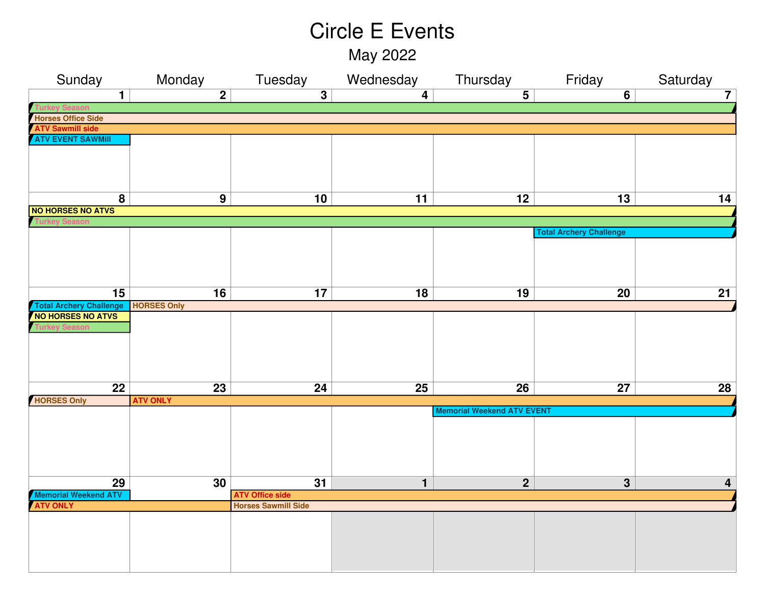May 2022

| Sunday                                         | Monday             | Tuesday                                              | Wednesday       | Thursday                          | Friday                         | Saturday                |
|------------------------------------------------|--------------------|------------------------------------------------------|-----------------|-----------------------------------|--------------------------------|-------------------------|
| $\mathbf{1}$                                   | $\overline{2}$     | $\overline{3}$                                       | $\overline{4}$  | $\overline{5}$                    | 6                              | $\overline{7}$          |
|                                                |                    |                                                      |                 |                                   |                                |                         |
| <b>Horses Office Side</b>                      |                    |                                                      |                 |                                   |                                |                         |
| <b>ATV Sawmill side</b>                        |                    |                                                      |                 |                                   |                                |                         |
| <b>ATV EVENT SAWMIII</b>                       |                    |                                                      |                 |                                   |                                |                         |
|                                                |                    |                                                      |                 |                                   |                                |                         |
|                                                |                    |                                                      |                 |                                   |                                |                         |
|                                                |                    |                                                      |                 |                                   |                                |                         |
|                                                |                    |                                                      |                 |                                   |                                |                         |
| $\overline{\mathbf{8}}$                        | $\overline{9}$     | 10                                                   | 11              | $\overline{12}$                   | $\overline{13}$                | 14                      |
| <b>NO HORSES NO ATVS</b>                       |                    |                                                      |                 |                                   |                                |                         |
|                                                |                    |                                                      |                 |                                   |                                |                         |
|                                                |                    |                                                      |                 |                                   | <b>Total Archery Challenge</b> |                         |
|                                                |                    |                                                      |                 |                                   |                                |                         |
|                                                |                    |                                                      |                 |                                   |                                |                         |
|                                                |                    |                                                      |                 |                                   |                                |                         |
|                                                |                    |                                                      |                 |                                   |                                |                         |
| $\overline{15}$                                | 16                 | 17                                                   | 18              | 19                                | 20                             | 21                      |
| <b>Total Archery Challenge</b>                 | <b>HORSES Only</b> |                                                      |                 |                                   |                                |                         |
| NO HORSES NO ATVS                              |                    |                                                      |                 |                                   |                                |                         |
|                                                |                    |                                                      |                 |                                   |                                |                         |
|                                                |                    |                                                      |                 |                                   |                                |                         |
|                                                |                    |                                                      |                 |                                   |                                |                         |
|                                                |                    |                                                      |                 |                                   |                                |                         |
|                                                |                    |                                                      |                 |                                   |                                |                         |
| $\overline{22}$                                | $\overline{23}$    | 24                                                   | $\overline{25}$ | $\overline{26}$                   | 27                             | $\overline{28}$         |
| <b>HORSES Only</b>                             | <b>ATV ONLY</b>    |                                                      |                 |                                   |                                |                         |
|                                                |                    |                                                      |                 | <b>Memorial Weekend ATV EVENT</b> |                                |                         |
|                                                |                    |                                                      |                 |                                   |                                |                         |
|                                                |                    |                                                      |                 |                                   |                                |                         |
|                                                |                    |                                                      |                 |                                   |                                |                         |
|                                                |                    |                                                      |                 |                                   |                                |                         |
|                                                |                    |                                                      |                 |                                   |                                |                         |
| $\overline{29}$                                | 30                 | $\overline{31}$                                      | $\mathbf{1}$    | $\overline{2}$                    | $\overline{\mathbf{3}}$        | $\overline{\mathbf{4}}$ |
|                                                |                    |                                                      |                 |                                   |                                |                         |
| <b>Memorial Weekend ATV</b><br><b>ATV ONLY</b> |                    | <b>ATV Office side</b><br><b>Horses Sawmill Side</b> |                 |                                   |                                |                         |
|                                                |                    |                                                      |                 |                                   |                                |                         |
|                                                |                    |                                                      |                 |                                   |                                |                         |
|                                                |                    |                                                      |                 |                                   |                                |                         |
|                                                |                    |                                                      |                 |                                   |                                |                         |
|                                                |                    |                                                      |                 |                                   |                                |                         |
|                                                |                    |                                                      |                 |                                   |                                |                         |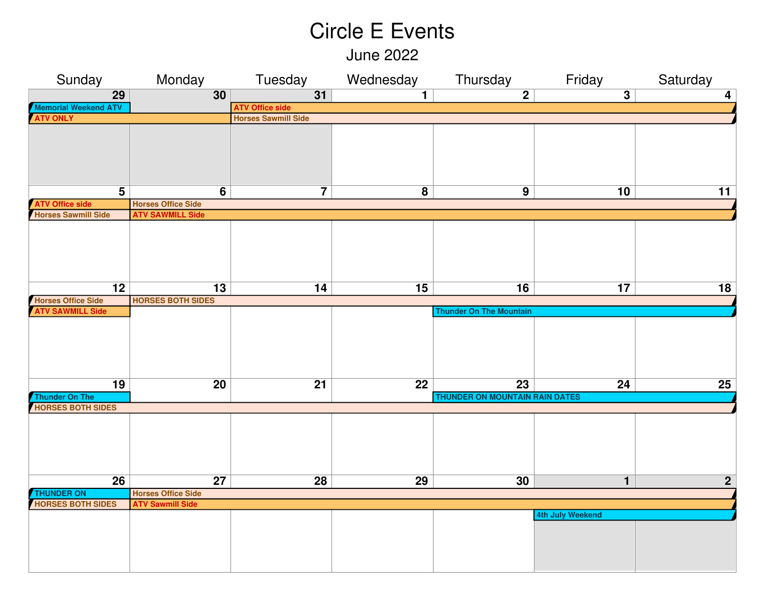June 2022

| Sunday                                        | Monday                                               | Tuesday                    | Wednesday       | Thursday                       | Friday                  | Saturday                |
|-----------------------------------------------|------------------------------------------------------|----------------------------|-----------------|--------------------------------|-------------------------|-------------------------|
| $\overline{29}$                               | 30                                                   | $\overline{31}$            | $\mathbf{1}$    | $\overline{2}$                 | $\overline{\mathbf{3}}$ | $\overline{\mathbf{4}}$ |
| <b>Memorial Weekend ATV</b>                   |                                                      | <b>ATV Office side</b>     |                 |                                |                         |                         |
| <b>ATV ONLY</b>                               |                                                      | <b>Horses Sawmill Side</b> |                 |                                |                         |                         |
|                                               |                                                      |                            |                 |                                |                         |                         |
|                                               |                                                      |                            |                 |                                |                         |                         |
|                                               |                                                      |                            |                 |                                |                         |                         |
|                                               |                                                      |                            |                 |                                |                         |                         |
|                                               |                                                      |                            |                 |                                |                         |                         |
| $\overline{\mathbf{5}}$                       | $\overline{6}$                                       | $\overline{7}$             | $\overline{8}$  | $\overline{9}$                 | 10                      | 11                      |
|                                               |                                                      |                            |                 |                                |                         |                         |
| <b>ATV Office side</b><br>Horses Sawmill Side | <b>Horses Office Side</b><br><b>ATV SAWMILL Side</b> |                            |                 |                                |                         |                         |
|                                               |                                                      |                            |                 |                                |                         |                         |
|                                               |                                                      |                            |                 |                                |                         |                         |
|                                               |                                                      |                            |                 |                                |                         |                         |
|                                               |                                                      |                            |                 |                                |                         |                         |
|                                               |                                                      |                            |                 |                                |                         |                         |
|                                               |                                                      |                            |                 |                                |                         |                         |
| $\overline{12}$                               | $\overline{13}$                                      | 14                         | $\overline{15}$ | $\overline{16}$                | 17                      | 18                      |
| <b>Horses Office Side</b>                     | <b>HORSES BOTH SIDES</b>                             |                            |                 |                                |                         |                         |
| <b>ATV SAWMILL Side</b>                       |                                                      |                            |                 | <b>Thunder On The Mountain</b> |                         |                         |
|                                               |                                                      |                            |                 |                                |                         |                         |
|                                               |                                                      |                            |                 |                                |                         |                         |
|                                               |                                                      |                            |                 |                                |                         |                         |
|                                               |                                                      |                            |                 |                                |                         |                         |
|                                               |                                                      |                            |                 |                                |                         |                         |
| 19                                            | $\overline{20}$                                      | $\overline{21}$            | $\overline{22}$ | $\overline{23}$                | 24                      | 25                      |
| <b>Thunder On The</b>                         |                                                      |                            |                 | THUNDER ON MOUNTAIN RAIN DATES |                         |                         |
| <b>HORSES BOTH SIDES</b>                      |                                                      |                            |                 |                                |                         |                         |
|                                               |                                                      |                            |                 |                                |                         |                         |
|                                               |                                                      |                            |                 |                                |                         |                         |
|                                               |                                                      |                            |                 |                                |                         |                         |
|                                               |                                                      |                            |                 |                                |                         |                         |
|                                               |                                                      |                            |                 |                                |                         |                         |
|                                               |                                                      |                            |                 |                                |                         |                         |
| 26                                            | 27                                                   | 28                         | 29              | 30                             | $\mathbf 1$             | $\overline{2}$          |
| <b>THUNDER ON</b>                             | <b>Horses Office Side</b>                            |                            |                 |                                |                         |                         |
| <b>HORSES BOTH SIDES</b>                      | <b>ATV Sawmill Side</b>                              |                            |                 |                                |                         |                         |
|                                               |                                                      |                            |                 |                                | 4th July Weekend        |                         |
|                                               |                                                      |                            |                 |                                |                         |                         |
|                                               |                                                      |                            |                 |                                |                         |                         |
|                                               |                                                      |                            |                 |                                |                         |                         |
|                                               |                                                      |                            |                 |                                |                         |                         |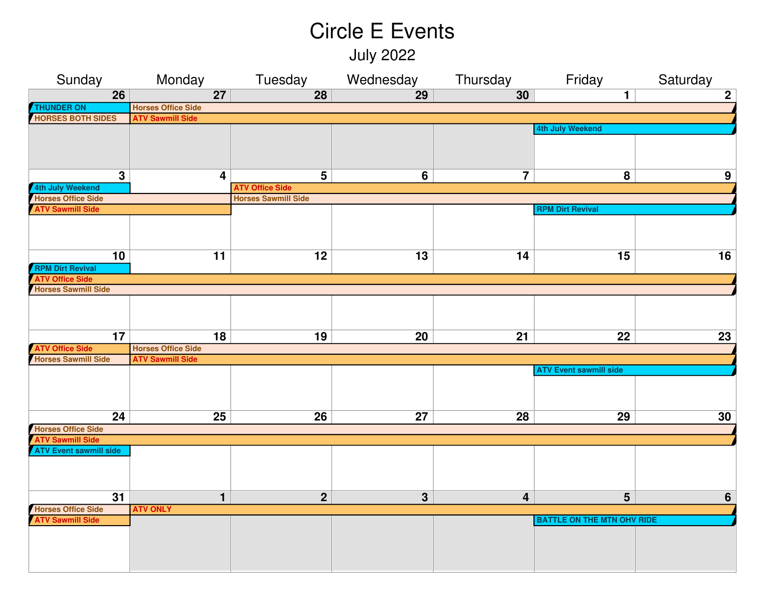July 2022

| Sunday                                                                                                                                                                                                                                                                                             | Monday                                                                                              | Tuesday                    | Wednesday                               | Thursday                                         | Friday                                                                                           | Saturday       |  |  |
|----------------------------------------------------------------------------------------------------------------------------------------------------------------------------------------------------------------------------------------------------------------------------------------------------|-----------------------------------------------------------------------------------------------------|----------------------------|-----------------------------------------|--------------------------------------------------|--------------------------------------------------------------------------------------------------|----------------|--|--|
| $\overline{26}$                                                                                                                                                                                                                                                                                    | $\overline{27}$                                                                                     | $\overline{28}$            | $\overline{29}$                         | 30                                               | $\mathbf{1}$                                                                                     | $\overline{2}$ |  |  |
| <b>THUNDER ON</b>                                                                                                                                                                                                                                                                                  | <b>Horses Office Side</b>                                                                           |                            |                                         |                                                  |                                                                                                  |                |  |  |
| <b>HORSES BOTH SIDES</b>                                                                                                                                                                                                                                                                           | <b>ATV Sawmill Side</b>                                                                             |                            |                                         |                                                  |                                                                                                  |                |  |  |
|                                                                                                                                                                                                                                                                                                    |                                                                                                     |                            |                                         |                                                  | 4th July Weekend                                                                                 |                |  |  |
|                                                                                                                                                                                                                                                                                                    |                                                                                                     |                            |                                         |                                                  |                                                                                                  |                |  |  |
|                                                                                                                                                                                                                                                                                                    |                                                                                                     |                            |                                         |                                                  |                                                                                                  |                |  |  |
|                                                                                                                                                                                                                                                                                                    |                                                                                                     |                            |                                         |                                                  |                                                                                                  |                |  |  |
| 3                                                                                                                                                                                                                                                                                                  | 4                                                                                                   | 5                          | 6                                       | 7                                                | 8                                                                                                | 9              |  |  |
| 4th July Weekend                                                                                                                                                                                                                                                                                   |                                                                                                     | <b>ATV Office Side</b>     |                                         |                                                  |                                                                                                  |                |  |  |
| <b>Horses Office Side</b>                                                                                                                                                                                                                                                                          |                                                                                                     | <b>Horses Sawmill Side</b> |                                         |                                                  |                                                                                                  |                |  |  |
| <b>ATV Sawmill Side</b>                                                                                                                                                                                                                                                                            |                                                                                                     |                            |                                         |                                                  | <b>RPM Dirt Revival</b>                                                                          |                |  |  |
|                                                                                                                                                                                                                                                                                                    |                                                                                                     |                            |                                         |                                                  |                                                                                                  |                |  |  |
|                                                                                                                                                                                                                                                                                                    |                                                                                                     |                            |                                         |                                                  |                                                                                                  |                |  |  |
|                                                                                                                                                                                                                                                                                                    |                                                                                                     |                            |                                         |                                                  |                                                                                                  |                |  |  |
| 10                                                                                                                                                                                                                                                                                                 | 11                                                                                                  | 12                         | 13                                      | 14                                               | 15                                                                                               | 16             |  |  |
| <b>RPM Dirt Revival</b>                                                                                                                                                                                                                                                                            |                                                                                                     |                            |                                         |                                                  |                                                                                                  |                |  |  |
|                                                                                                                                                                                                                                                                                                    |                                                                                                     |                            |                                         |                                                  |                                                                                                  |                |  |  |
|                                                                                                                                                                                                                                                                                                    |                                                                                                     |                            |                                         |                                                  |                                                                                                  |                |  |  |
|                                                                                                                                                                                                                                                                                                    |                                                                                                     |                            |                                         |                                                  |                                                                                                  |                |  |  |
|                                                                                                                                                                                                                                                                                                    |                                                                                                     |                            |                                         |                                                  |                                                                                                  |                |  |  |
|                                                                                                                                                                                                                                                                                                    |                                                                                                     |                            |                                         |                                                  |                                                                                                  |                |  |  |
|                                                                                                                                                                                                                                                                                                    |                                                                                                     |                            |                                         |                                                  |                                                                                                  | 23             |  |  |
|                                                                                                                                                                                                                                                                                                    |                                                                                                     |                            |                                         |                                                  |                                                                                                  |                |  |  |
|                                                                                                                                                                                                                                                                                                    |                                                                                                     |                            |                                         |                                                  |                                                                                                  |                |  |  |
|                                                                                                                                                                                                                                                                                                    |                                                                                                     |                            |                                         |                                                  |                                                                                                  |                |  |  |
|                                                                                                                                                                                                                                                                                                    |                                                                                                     |                            |                                         |                                                  |                                                                                                  |                |  |  |
|                                                                                                                                                                                                                                                                                                    |                                                                                                     |                            |                                         |                                                  |                                                                                                  |                |  |  |
|                                                                                                                                                                                                                                                                                                    |                                                                                                     |                            |                                         |                                                  |                                                                                                  |                |  |  |
|                                                                                                                                                                                                                                                                                                    |                                                                                                     |                            |                                         |                                                  |                                                                                                  | 30             |  |  |
|                                                                                                                                                                                                                                                                                                    |                                                                                                     |                            |                                         |                                                  |                                                                                                  |                |  |  |
|                                                                                                                                                                                                                                                                                                    |                                                                                                     |                            |                                         |                                                  |                                                                                                  |                |  |  |
|                                                                                                                                                                                                                                                                                                    |                                                                                                     |                            |                                         |                                                  |                                                                                                  |                |  |  |
|                                                                                                                                                                                                                                                                                                    |                                                                                                     |                            |                                         |                                                  |                                                                                                  |                |  |  |
|                                                                                                                                                                                                                                                                                                    |                                                                                                     |                            |                                         |                                                  |                                                                                                  |                |  |  |
|                                                                                                                                                                                                                                                                                                    |                                                                                                     |                            |                                         |                                                  |                                                                                                  |                |  |  |
|                                                                                                                                                                                                                                                                                                    |                                                                                                     |                            |                                         |                                                  |                                                                                                  | 6              |  |  |
|                                                                                                                                                                                                                                                                                                    |                                                                                                     |                            |                                         |                                                  |                                                                                                  |                |  |  |
|                                                                                                                                                                                                                                                                                                    |                                                                                                     |                            |                                         |                                                  |                                                                                                  |                |  |  |
|                                                                                                                                                                                                                                                                                                    |                                                                                                     |                            |                                         |                                                  |                                                                                                  |                |  |  |
|                                                                                                                                                                                                                                                                                                    |                                                                                                     |                            |                                         |                                                  |                                                                                                  |                |  |  |
|                                                                                                                                                                                                                                                                                                    |                                                                                                     |                            |                                         |                                                  |                                                                                                  |                |  |  |
| <b>ATV Office Side</b><br>Horses Sawmill Side<br>17<br><b>ATV Office Side</b><br><b>Horses Sawmill Side</b><br>$\overline{24}$<br><b>Horses Office Side</b><br><b>ATV Sawmill Side</b><br><b>ATV Event sawmill side</b><br>$\overline{31}$<br><b>Horses Office Side</b><br><b>ATV Sawmill Side</b> | 18<br><b>Horses Office Side</b><br><b>ATV Sawmill Side</b><br>25<br>$\mathbf{1}$<br><b>ATV ONLY</b> | 19<br>26<br>$\mathbf{2}$   | 20<br>$\overline{27}$<br>$\overline{3}$ | $\overline{21}$<br>28<br>$\overline{\mathbf{4}}$ | 22<br><b>ATV Event sawmill side</b><br>29<br>$5\phantom{1}$<br><b>BATTLE ON THE MTN OHV RIDE</b> |                |  |  |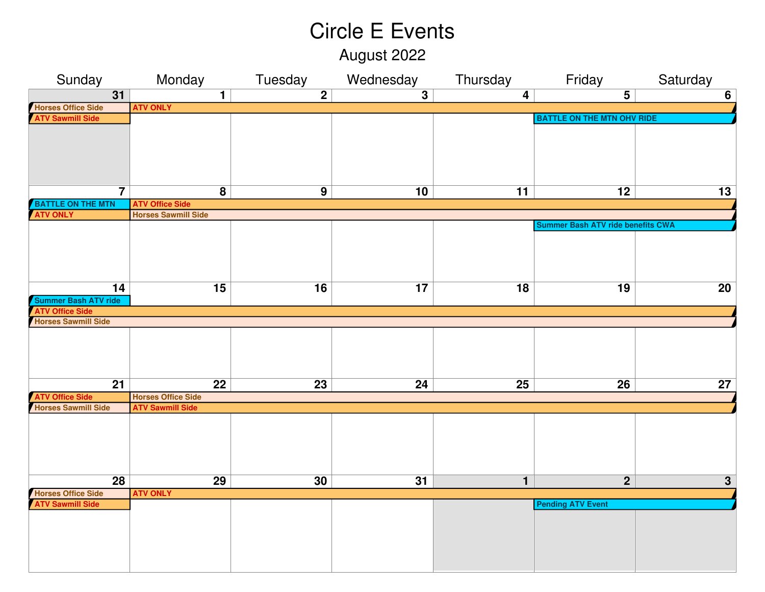August 2022

| Sunday                      | Monday                     | Tuesday        | Wednesday               | Thursday       | Friday                            | Saturday        |
|-----------------------------|----------------------------|----------------|-------------------------|----------------|-----------------------------------|-----------------|
| $\overline{31}$             | $\overline{1}$             | $\overline{2}$ | $\overline{\mathbf{3}}$ | $\overline{4}$ | $\overline{\mathbf{5}}$           | $\overline{6}$  |
| <b>Horses Office Side</b>   | <b>ATV ONLY</b>            |                |                         |                |                                   |                 |
| <b>ATV Sawmill Side</b>     |                            |                |                         |                | <b>BATTLE ON THE MTN OHV RIDE</b> |                 |
|                             |                            |                |                         |                |                                   |                 |
|                             |                            |                |                         |                |                                   |                 |
|                             |                            |                |                         |                |                                   |                 |
|                             |                            |                |                         |                |                                   |                 |
|                             |                            |                |                         |                |                                   |                 |
| $\overline{\mathbf{7}}$     | $\overline{\mathbf{8}}$    | 9              | 10                      | 11             | $\overline{12}$                   | $\overline{13}$ |
| <b>BATTLE ON THE MTN</b>    | <b>ATV Office Side</b>     |                |                         |                |                                   |                 |
| <b>ATV ONLY</b>             | <b>Horses Sawmill Side</b> |                |                         |                |                                   |                 |
|                             |                            |                |                         |                | Summer Bash ATV ride benefits CWA |                 |
|                             |                            |                |                         |                |                                   |                 |
|                             |                            |                |                         |                |                                   |                 |
|                             |                            |                |                         |                |                                   |                 |
|                             |                            |                |                         |                |                                   |                 |
| 14                          | 15                         | 16             | 17                      | 18             | 19                                | 20              |
| <b>Summer Bash ATV ride</b> |                            |                |                         |                |                                   |                 |
| <b>ATV Office Side</b>      |                            |                |                         |                |                                   |                 |
| <b>Horses Sawmill Side</b>  |                            |                |                         |                |                                   |                 |
|                             |                            |                |                         |                |                                   |                 |
|                             |                            |                |                         |                |                                   |                 |
|                             |                            |                |                         |                |                                   |                 |
|                             |                            |                |                         |                |                                   |                 |
| 21                          | 22                         | 23             | 24                      | 25             | 26                                | 27              |
| <b>ATV Office Side</b>      | <b>Horses Office Side</b>  |                |                         |                |                                   |                 |
| <b>Horses Sawmill Side</b>  | <b>ATV Sawmill Side</b>    |                |                         |                |                                   |                 |
|                             |                            |                |                         |                |                                   |                 |
|                             |                            |                |                         |                |                                   |                 |
|                             |                            |                |                         |                |                                   |                 |
|                             |                            |                |                         |                |                                   |                 |
|                             |                            |                |                         |                |                                   |                 |
| 28                          | 29                         | 30             | 31                      | $\mathbf{1}$   | $\overline{2}$                    | $\mathbf{3}$    |
| <b>Horses Office Side</b>   | <b>ATV ONLY</b>            |                |                         |                |                                   |                 |
| <b>ATV Sawmill Side</b>     |                            |                |                         |                | <b>Pending ATV Event</b>          |                 |
|                             |                            |                |                         |                |                                   |                 |
|                             |                            |                |                         |                |                                   |                 |
|                             |                            |                |                         |                |                                   |                 |
|                             |                            |                |                         |                |                                   |                 |
|                             |                            |                |                         |                |                                   |                 |
|                             |                            |                |                         |                |                                   |                 |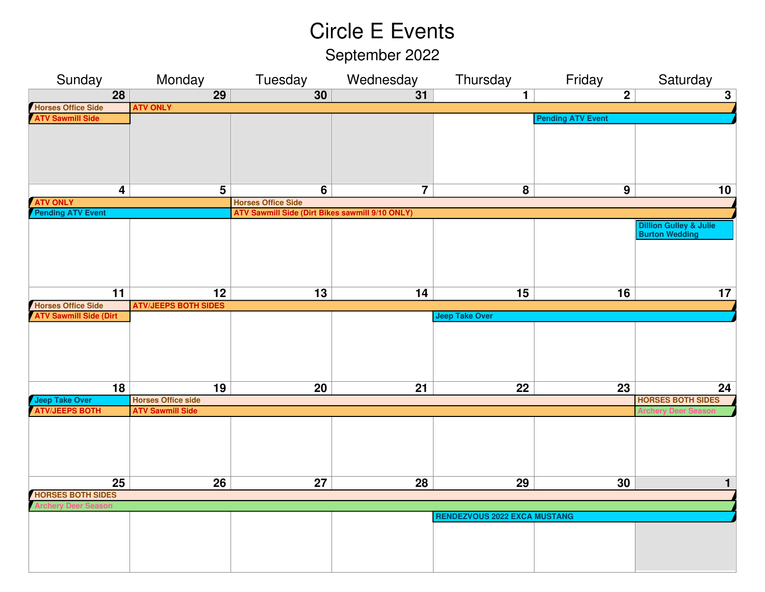September 2022

| Sunday                                       | Monday                      | Tuesday                                                | Wednesday               | Thursday                            | Friday                   | Saturday                          |
|----------------------------------------------|-----------------------------|--------------------------------------------------------|-------------------------|-------------------------------------|--------------------------|-----------------------------------|
| 28                                           | $\overline{29}$             | 30                                                     | 31                      | $\mathbf{1}$                        | $\overline{2}$           | $\overline{\mathbf{3}}$           |
|                                              | <b>ATV ONLY</b>             |                                                        |                         |                                     |                          |                                   |
| Horses Office Side<br>ATV Sawmill Side       |                             |                                                        |                         |                                     | <b>Pending ATV Event</b> |                                   |
|                                              |                             |                                                        |                         |                                     |                          |                                   |
|                                              |                             |                                                        |                         |                                     |                          |                                   |
|                                              |                             |                                                        |                         |                                     |                          |                                   |
|                                              |                             |                                                        |                         |                                     |                          |                                   |
|                                              |                             |                                                        |                         |                                     |                          |                                   |
| 4                                            | $5\phantom{1}$              | 6                                                      | $\overline{\mathbf{7}}$ | 8                                   | $\boldsymbol{9}$         | 10                                |
| <b>ATV ONLY<br/>Pending ATV Event</b>        |                             | <b>Horses Office Side</b>                              |                         |                                     |                          |                                   |
|                                              |                             | <b>ATV Sawmill Side (Dirt Bikes sawmill 9/10 ONLY)</b> |                         |                                     |                          |                                   |
|                                              |                             |                                                        |                         |                                     |                          | <b>Dillion Gulley &amp; Julie</b> |
|                                              |                             |                                                        |                         |                                     |                          | <b>Burton Wedding</b>             |
|                                              |                             |                                                        |                         |                                     |                          |                                   |
|                                              |                             |                                                        |                         |                                     |                          |                                   |
|                                              |                             |                                                        |                         |                                     |                          |                                   |
| $\overline{11}$                              | $\overline{12}$             | $\overline{13}$                                        | 14                      | 15                                  | 16                       | 17                                |
|                                              | <b>ATV/JEEPS BOTH SIDES</b> |                                                        |                         |                                     |                          |                                   |
| Horses Office Side<br>ATV Sawmill Side (Dirt |                             |                                                        |                         | <b>Jeep Take Over</b>               |                          |                                   |
|                                              |                             |                                                        |                         |                                     |                          |                                   |
|                                              |                             |                                                        |                         |                                     |                          |                                   |
|                                              |                             |                                                        |                         |                                     |                          |                                   |
|                                              |                             |                                                        |                         |                                     |                          |                                   |
|                                              |                             |                                                        |                         |                                     |                          |                                   |
| 18                                           | 19                          | 20                                                     | 21                      | 22                                  | 23                       | 24                                |
| Jeep Take Over<br>ATV/JEEPS BOTH             | <b>Horses Office side</b>   |                                                        |                         |                                     |                          | <b>HORSES BOTH SIDES</b>          |
|                                              | <b>ATV Sawmill Side</b>     |                                                        |                         |                                     |                          |                                   |
|                                              |                             |                                                        |                         |                                     |                          |                                   |
|                                              |                             |                                                        |                         |                                     |                          |                                   |
|                                              |                             |                                                        |                         |                                     |                          |                                   |
|                                              |                             |                                                        |                         |                                     |                          |                                   |
|                                              |                             |                                                        |                         |                                     |                          |                                   |
| $\overline{25}$                              | 26                          | $\overline{27}$                                        | 28                      | 29                                  | 30                       | $\mathbf{1}$                      |
| <b>HORSES BOTH SIDES</b>                     |                             |                                                        |                         |                                     |                          |                                   |
|                                              |                             |                                                        |                         | <b>RENDEZVOUS 2022 EXCA MUSTANG</b> |                          |                                   |
|                                              |                             |                                                        |                         |                                     |                          |                                   |
|                                              |                             |                                                        |                         |                                     |                          |                                   |
|                                              |                             |                                                        |                         |                                     |                          |                                   |
|                                              |                             |                                                        |                         |                                     |                          |                                   |
|                                              |                             |                                                        |                         |                                     |                          |                                   |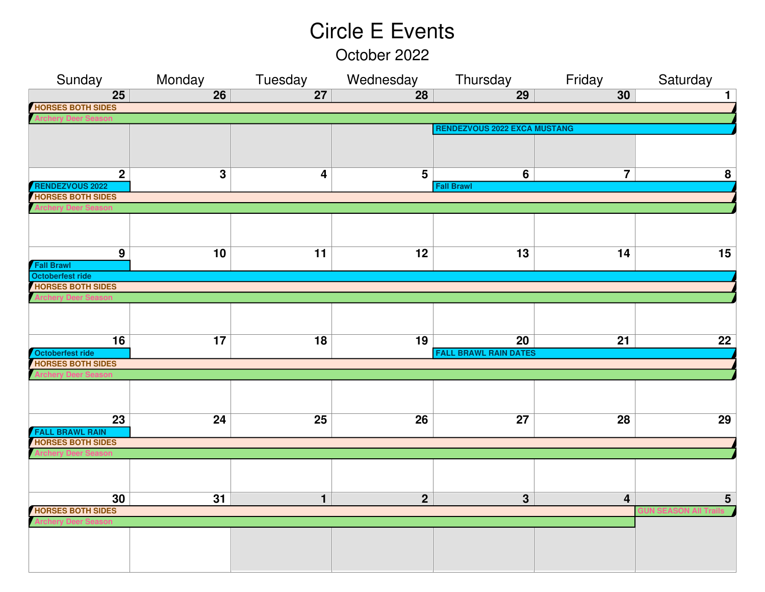October 2022

| Sunday                                             | Monday          | Tuesday                 | Wednesday       | Thursday                            | Friday                  | Saturday        |
|----------------------------------------------------|-----------------|-------------------------|-----------------|-------------------------------------|-------------------------|-----------------|
| 25                                                 | $\overline{26}$ | $\overline{27}$         | 28              | 29                                  | 30                      | 1               |
| <b>HORSES BOTH SIDES</b>                           |                 |                         |                 |                                     |                         |                 |
|                                                    |                 |                         |                 |                                     |                         |                 |
|                                                    |                 |                         |                 | <b>RENDEZVOUS 2022 EXCA MUSTANG</b> |                         |                 |
|                                                    |                 |                         |                 |                                     |                         |                 |
|                                                    |                 |                         |                 |                                     |                         |                 |
|                                                    |                 |                         |                 |                                     |                         |                 |
| $\mathbf{2}$                                       | 3               | $\overline{\mathbf{4}}$ | 5               | $6\phantom{1}$                      | $\overline{\mathbf{7}}$ | 8               |
| <b>RENDEZVOUS 2022</b><br><b>HORSES BOTH SIDES</b> |                 |                         |                 | <b>Fall Brawl</b>                   |                         |                 |
|                                                    |                 |                         |                 |                                     |                         |                 |
|                                                    |                 |                         |                 |                                     |                         |                 |
|                                                    |                 |                         |                 |                                     |                         |                 |
|                                                    |                 |                         |                 |                                     |                         |                 |
| 9                                                  | 10              | $\overline{11}$         | 12              | 13                                  | 14                      | $\overline{15}$ |
| <b>Fall Brawl</b>                                  |                 |                         |                 |                                     |                         |                 |
| Octoberfest ride                                   |                 |                         |                 |                                     |                         |                 |
| <b>HORSES BOTH SIDES</b>                           |                 |                         |                 |                                     |                         |                 |
|                                                    |                 |                         |                 |                                     |                         |                 |
|                                                    |                 |                         |                 |                                     |                         |                 |
|                                                    |                 |                         |                 |                                     |                         |                 |
| 16                                                 | $\overline{17}$ | $\overline{18}$         | 19              | $\overline{20}$                     | $\overline{21}$         | $\overline{22}$ |
| Octoberfest ride                                   |                 |                         |                 | <b>FALL BRAWL RAIN DATES</b>        |                         |                 |
| <b>HORSES BOTH SIDES</b>                           |                 |                         |                 |                                     |                         |                 |
|                                                    |                 |                         |                 |                                     |                         |                 |
|                                                    |                 |                         |                 |                                     |                         |                 |
|                                                    |                 |                         |                 |                                     |                         |                 |
|                                                    |                 |                         |                 |                                     |                         |                 |
| $\overline{23}$                                    | $\overline{24}$ | $\overline{25}$         | $\overline{26}$ | $\overline{27}$                     | $\overline{28}$         | 29              |
| <b>FALL BRAWL RAIN</b><br><b>HORSES BOTH SIDES</b> |                 |                         |                 |                                     |                         |                 |
|                                                    |                 |                         |                 |                                     |                         |                 |
|                                                    |                 |                         |                 |                                     |                         |                 |
|                                                    |                 |                         |                 |                                     |                         |                 |
|                                                    |                 |                         |                 |                                     |                         |                 |
| 30                                                 | 31              | $\mathbf{1}$            | $\overline{2}$  | $\overline{3}$                      | $\overline{\mathbf{4}}$ | $5\phantom{1}$  |
| <b>HORSES BOTH SIDES</b>                           |                 |                         |                 |                                     |                         |                 |
|                                                    |                 |                         |                 |                                     |                         |                 |
|                                                    |                 |                         |                 |                                     |                         |                 |
|                                                    |                 |                         |                 |                                     |                         |                 |
|                                                    |                 |                         |                 |                                     |                         |                 |
|                                                    |                 |                         |                 |                                     |                         |                 |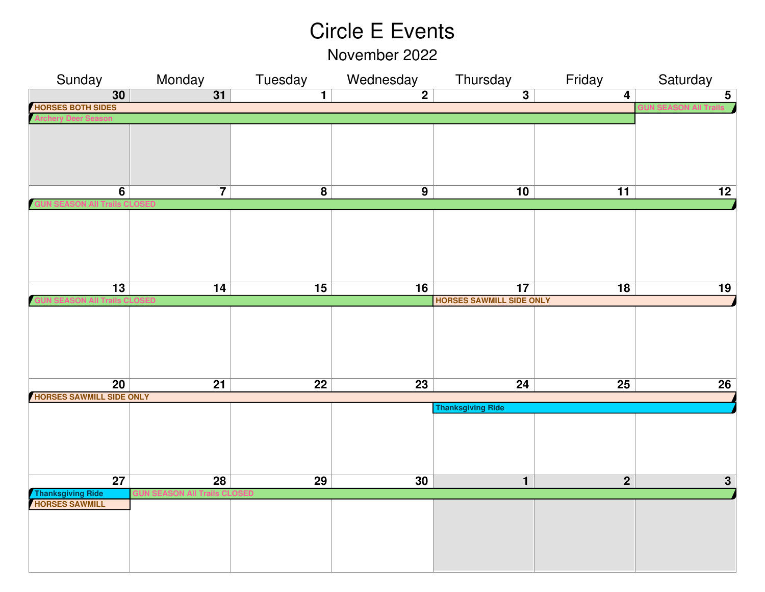November 2022

| Sunday                                             | Monday          | Tuesday                  | Wednesday       | Thursday                        | Friday          | Saturday        |
|----------------------------------------------------|-----------------|--------------------------|-----------------|---------------------------------|-----------------|-----------------|
| 30                                                 | 31              | $\overline{1}$           | $\overline{2}$  | $\overline{\mathbf{3}}$         | $\overline{4}$  | $\overline{5}$  |
| <b>HORSES BOTH SIDES</b>                           |                 |                          |                 |                                 |                 |                 |
|                                                    |                 |                          |                 |                                 |                 |                 |
|                                                    |                 |                          |                 |                                 |                 |                 |
|                                                    |                 |                          |                 |                                 |                 |                 |
|                                                    |                 |                          |                 |                                 |                 |                 |
|                                                    |                 |                          |                 |                                 |                 |                 |
|                                                    |                 |                          |                 |                                 |                 |                 |
| $\overline{6}$                                     | $\overline{7}$  | $\overline{\mathbf{8}}$  | $\overline{9}$  | 10                              | $\overline{11}$ | $\overline{12}$ |
|                                                    |                 |                          |                 |                                 |                 |                 |
|                                                    |                 |                          |                 |                                 |                 |                 |
|                                                    |                 |                          |                 |                                 |                 |                 |
|                                                    |                 |                          |                 |                                 |                 |                 |
|                                                    |                 |                          |                 |                                 |                 |                 |
|                                                    |                 |                          |                 |                                 |                 |                 |
| $\overline{\mathbf{13}}$                           | $\overline{14}$ | $\overline{\mathbf{15}}$ | $\overline{16}$ | $\overline{17}$                 | $\overline{18}$ | 19              |
|                                                    |                 |                          |                 | <b>HORSES SAWMILL SIDE ONLY</b> |                 |                 |
|                                                    |                 |                          |                 |                                 |                 |                 |
|                                                    |                 |                          |                 |                                 |                 |                 |
|                                                    |                 |                          |                 |                                 |                 |                 |
|                                                    |                 |                          |                 |                                 |                 |                 |
|                                                    |                 |                          |                 |                                 |                 |                 |
|                                                    |                 |                          |                 |                                 |                 |                 |
| $\overline{20}$<br><b>HORSES SAWMILL SIDE ONLY</b> | $\overline{21}$ | $\overline{22}$          | $\overline{23}$ | 24                              | $\overline{25}$ | 26              |
|                                                    |                 |                          |                 | <b>Thanksgiving Ride</b>        |                 |                 |
|                                                    |                 |                          |                 |                                 |                 |                 |
|                                                    |                 |                          |                 |                                 |                 |                 |
|                                                    |                 |                          |                 |                                 |                 |                 |
|                                                    |                 |                          |                 |                                 |                 |                 |
|                                                    |                 |                          |                 |                                 |                 |                 |
| $\overline{27}$                                    | $\overline{28}$ | $\overline{29}$          | 30              | $\overline{\mathbf{1}}$         | $\overline{2}$  | 3 <sup>1</sup>  |
| Thanksgiving Ride<br>HORSES SAWMILL                |                 |                          |                 |                                 |                 |                 |
|                                                    |                 |                          |                 |                                 |                 |                 |
|                                                    |                 |                          |                 |                                 |                 |                 |
|                                                    |                 |                          |                 |                                 |                 |                 |
|                                                    |                 |                          |                 |                                 |                 |                 |
|                                                    |                 |                          |                 |                                 |                 |                 |
|                                                    |                 |                          |                 |                                 |                 |                 |